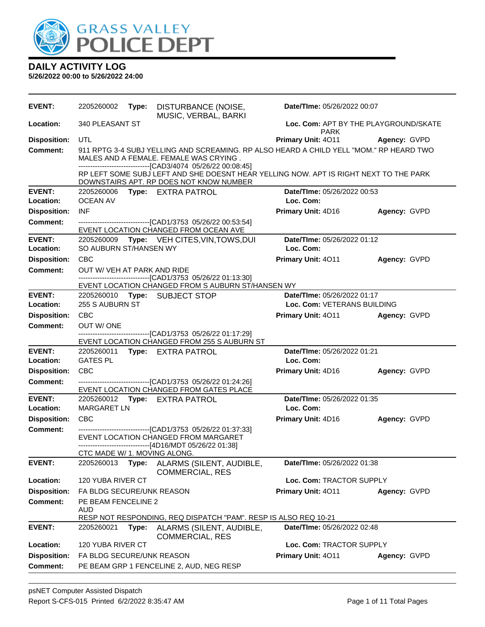

| <b>EVENT:</b>                     | 2205260002                                                       | Type: | DISTURBANCE (NOISE,<br>MUSIC, VERBAL, BARKI                                                                                                                                                       | Date/TIme: 05/26/2022 00:07              |              |  |
|-----------------------------------|------------------------------------------------------------------|-------|---------------------------------------------------------------------------------------------------------------------------------------------------------------------------------------------------|------------------------------------------|--------------|--|
| Location:                         | 340 PLEASANT ST<br>Loc. Com: APT BY THE PLAYGROUND/SKATE<br>PARK |       |                                                                                                                                                                                                   |                                          |              |  |
| <b>Disposition:</b>               | UTL                                                              |       |                                                                                                                                                                                                   | Primary Unit: 4011                       | Agency: GVPD |  |
| <b>Comment:</b>                   |                                                                  |       | 911 RPTG 3-4 SUBJ YELLING AND SCREAMING. RP ALSO HEARD A CHILD YELL "MOM." RP HEARD TWO<br>MALES AND A FEMALE. FEMALE WAS CRYING.<br>-------------------------------[CAD3/4074 05/26/22 00:08:45] |                                          |              |  |
|                                   |                                                                  |       | RP LEFT SOME SUBJ LEFT AND SHE DOESNT HEAR YELLING NOW. APT IS RIGHT NEXT TO THE PARK<br>DOWNSTAIRS APT. RP DOES NOT KNOW NUMBER                                                                  |                                          |              |  |
| <b>EVENT:</b>                     | Date/TIme: 05/26/2022 00:53<br>2205260006<br>Type: EXTRA PATROL  |       |                                                                                                                                                                                                   |                                          |              |  |
| Location:                         | <b>OCEAN AV</b>                                                  |       |                                                                                                                                                                                                   | Loc. Com:                                |              |  |
| <b>Disposition:</b>               | <b>INF</b>                                                       |       |                                                                                                                                                                                                   | Primary Unit: 4D16                       | Agency: GVPD |  |
| <b>Comment:</b>                   |                                                                  |       | -------------------------------[CAD1/3753 05/26/22 00:53:54]<br>EVENT LOCATION CHANGED FROM OCEAN AVE                                                                                             |                                          |              |  |
| <b>EVENT:</b><br><b>Location:</b> | 2205260009<br>SO AUBURN ST/HANSEN WY                             |       | Type: VEH CITES, VIN, TOWS, DUI                                                                                                                                                                   | Date/TIme: 05/26/2022 01:12<br>Loc. Com: |              |  |
| <b>Disposition:</b>               | <b>CBC</b>                                                       |       |                                                                                                                                                                                                   | Primary Unit: 4011                       | Agency: GVPD |  |
| <b>Comment:</b>                   | OUT W/ VEH AT PARK AND RIDE                                      |       |                                                                                                                                                                                                   |                                          |              |  |
|                                   |                                                                  |       | --------------------------------[CAD1/3753 05/26/22 01:13:30]<br>EVENT LOCATION CHANGED FROM S AUBURN ST/HANSEN WY                                                                                |                                          |              |  |
| <b>EVENT:</b>                     |                                                                  |       | 2205260010 Type: SUBJECT STOP                                                                                                                                                                     | Date/TIme: 05/26/2022 01:17              |              |  |
| Location:                         | 255 S AUBURN ST                                                  |       |                                                                                                                                                                                                   | Loc. Com: VETERANS BUILDING              |              |  |
| <b>Disposition:</b>               | <b>CBC</b>                                                       |       |                                                                                                                                                                                                   | <b>Primary Unit: 4011</b>                | Agency: GVPD |  |
| <b>Comment:</b>                   | OUT W/ONE                                                        |       |                                                                                                                                                                                                   |                                          |              |  |
|                                   |                                                                  |       | -------------------------------[CAD1/3753 05/26/22 01:17:29]<br>EVENT LOCATION CHANGED FROM 255 S AUBURN ST                                                                                       |                                          |              |  |
| <b>EVENT:</b>                     | 2205260011                                                       |       | Type: EXTRA PATROL                                                                                                                                                                                | Date/TIme: 05/26/2022 01:21              |              |  |
| Location:                         | <b>GATES PL</b>                                                  |       |                                                                                                                                                                                                   | Loc. Com:                                |              |  |
| <b>Disposition:</b>               | <b>CBC</b>                                                       |       |                                                                                                                                                                                                   | Primary Unit: 4D16                       | Agency: GVPD |  |
| <b>Comment:</b>                   |                                                                  |       | -------------------------------[CAD1/3753 05/26/22 01:24:26]<br>EVENT LOCATION CHANGED FROM GATES PLACE                                                                                           |                                          |              |  |
| <b>EVENT:</b>                     |                                                                  |       | 2205260012 Type: EXTRA PATROL                                                                                                                                                                     | Date/TIme: 05/26/2022 01:35              |              |  |
| Location:                         | <b>MARGARET LN</b>                                               |       |                                                                                                                                                                                                   | Loc. Com:                                |              |  |
| <b>Disposition:</b>               | <b>CBC</b>                                                       |       |                                                                                                                                                                                                   | Primary Unit: 4D16                       | Agency: GVPD |  |
| <b>Comment:</b>                   |                                                                  |       | ---------------------------------[CAD1/3753 05/26/22 01:37:33]<br>EVENT LOCATION CHANGED FROM MARGARET<br>--------------------------------[4D16/MDT 05/26/22 01:38]                               |                                          |              |  |
|                                   | CTC MADE W/ 1. MOVING ALONG.                                     |       |                                                                                                                                                                                                   |                                          |              |  |
| <b>EVENT:</b>                     | 2205260013                                                       | Type: | ALARMS (SILENT, AUDIBLE,<br><b>COMMERCIAL, RES</b>                                                                                                                                                | Date/TIme: 05/26/2022 01:38              |              |  |
| Location:                         | 120 YUBA RIVER CT                                                |       |                                                                                                                                                                                                   | Loc. Com: TRACTOR SUPPLY                 |              |  |
| <b>Disposition:</b>               | FA BLDG SECURE/UNK REASON                                        |       |                                                                                                                                                                                                   | Primary Unit: 4011                       | Agency: GVPD |  |
| <b>Comment:</b>                   | PE BEAM FENCELINE 2<br><b>AUD</b>                                |       |                                                                                                                                                                                                   |                                          |              |  |
| <b>EVENT:</b>                     | 2205260021                                                       |       | RESP NOT RESPONDING, REQ DISPATCH "PAM". RESP IS ALSO REQ 10-21                                                                                                                                   | Date/TIme: 05/26/2022 02:48              |              |  |
|                                   |                                                                  | Type: | ALARMS (SILENT, AUDIBLE,<br><b>COMMERCIAL, RES</b>                                                                                                                                                |                                          |              |  |
| Location:                         | 120 YUBA RIVER CT                                                |       |                                                                                                                                                                                                   | Loc. Com: TRACTOR SUPPLY                 |              |  |
| <b>Disposition:</b>               | FA BLDG SECURE/UNK REASON                                        |       |                                                                                                                                                                                                   | Primary Unit: 4011                       | Agency: GVPD |  |
| <b>Comment:</b>                   |                                                                  |       | PE BEAM GRP 1 FENCELINE 2, AUD, NEG RESP                                                                                                                                                          |                                          |              |  |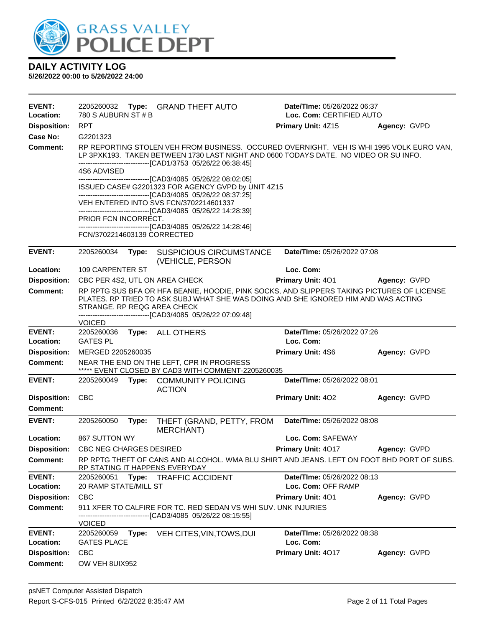

| EVENT:<br>Location:        | 2205260032<br>780 S AUBURN ST # B                                                                                                                                                                                                                | Type: GRAND THEFT AUTO                                                                                                                                                                                                                           | Date/TIme: 05/26/2022 06:37<br>Loc. Com: CERTIFIED AUTO |              |  |  |
|----------------------------|--------------------------------------------------------------------------------------------------------------------------------------------------------------------------------------------------------------------------------------------------|--------------------------------------------------------------------------------------------------------------------------------------------------------------------------------------------------------------------------------------------------|---------------------------------------------------------|--------------|--|--|
| <b>Disposition:</b>        | RPT                                                                                                                                                                                                                                              |                                                                                                                                                                                                                                                  | Primary Unit: 4Z15                                      | Agency: GVPD |  |  |
| Case No:                   | G2201323                                                                                                                                                                                                                                         |                                                                                                                                                                                                                                                  |                                                         |              |  |  |
| <b>Comment:</b>            | RP REPORTING STOLEN VEH FROM BUSINESS. OCCURED OVERNIGHT. VEH IS WHI 1995 VOLK EURO VAN,<br>LP 3PXK193. TAKEN BETWEEN 1730 LAST NIGHT AND 0600 TODAYS DATE. NO VIDEO OR SU INFO.<br>-------------------------------[CAD1/3753 05/26/22 06:38:45] |                                                                                                                                                                                                                                                  |                                                         |              |  |  |
|                            | 4S6 ADVISED<br>--------------------------------[CAD3/4085 05/26/22 08:02:05]                                                                                                                                                                     |                                                                                                                                                                                                                                                  |                                                         |              |  |  |
|                            |                                                                                                                                                                                                                                                  | ISSUED CASE# G2201323 FOR AGENCY GVPD by UNIT 4Z15<br>--------------------------------[CAD3/4085 05/26/22 08:37:25]                                                                                                                              |                                                         |              |  |  |
|                            |                                                                                                                                                                                                                                                  | VEH ENTERED INTO SVS FCN/3702214601337<br>-------------------------------[CAD3/4085 05/26/22 14:28:39]                                                                                                                                           |                                                         |              |  |  |
|                            | PRIOR FCN INCORRECT.                                                                                                                                                                                                                             | -------------------------------[CAD3/4085 05/26/22 14:28:46]                                                                                                                                                                                     |                                                         |              |  |  |
|                            | FCN/3702214603139 CORRECTED                                                                                                                                                                                                                      |                                                                                                                                                                                                                                                  |                                                         |              |  |  |
| <b>EVENT:</b>              | 2205260034<br>Type:                                                                                                                                                                                                                              | <b>SUSPICIOUS CIRCUMSTANCE</b><br>(VEHICLE, PERSON                                                                                                                                                                                               | Date/TIme: 05/26/2022 07:08                             |              |  |  |
| Location:                  | 109 CARPENTER ST                                                                                                                                                                                                                                 |                                                                                                                                                                                                                                                  | Loc. Com:                                               |              |  |  |
| <b>Disposition:</b>        | CBC PER 4S2, UTL ON AREA CHECK                                                                                                                                                                                                                   |                                                                                                                                                                                                                                                  | Primary Unit: 401                                       | Agency: GVPD |  |  |
| <b>Comment:</b>            | STRANGE. RP REQG AREA CHECK                                                                                                                                                                                                                      | RP RPTG SUS BFA OR HFA BEANIE, HOODIE, PINK SOCKS, AND SLIPPERS TAKING PICTURES OF LICENSE<br>PLATES. RP TRIED TO ASK SUBJ WHAT SHE WAS DOING AND SHE IGNORED HIM AND WAS ACTING<br>-------------------------------[CAD3/4085 05/26/22 07:09:48] |                                                         |              |  |  |
|                            | <b>VOICED</b>                                                                                                                                                                                                                                    |                                                                                                                                                                                                                                                  |                                                         |              |  |  |
| <b>EVENT:</b>              | 2205260036                                                                                                                                                                                                                                       | Type: ALL OTHERS                                                                                                                                                                                                                                 | Date/TIme: 05/26/2022 07:26                             |              |  |  |
| Location:                  | <b>GATES PL</b>                                                                                                                                                                                                                                  |                                                                                                                                                                                                                                                  | Loc. Com:                                               |              |  |  |
| <b>Disposition:</b>        | MERGED 2205260035                                                                                                                                                                                                                                |                                                                                                                                                                                                                                                  | <b>Primary Unit: 4S6</b>                                | Agency: GVPD |  |  |
| <b>Comment:</b>            |                                                                                                                                                                                                                                                  | NEAR THE END ON THE LEFT, CPR IN PROGRESS<br>***** EVENT CLOSED BY CAD3 WITH COMMENT-2205260035                                                                                                                                                  |                                                         |              |  |  |
| <b>EVENT:</b>              | 2205260049                                                                                                                                                                                                                                       | Type: COMMUNITY POLICING<br><b>ACTION</b>                                                                                                                                                                                                        | Date/TIme: 05/26/2022 08:01                             |              |  |  |
| <b>Disposition:</b>        | <b>CBC</b>                                                                                                                                                                                                                                       |                                                                                                                                                                                                                                                  | <b>Primary Unit: 402</b>                                | Agency: GVPD |  |  |
| <b>Comment:</b>            |                                                                                                                                                                                                                                                  |                                                                                                                                                                                                                                                  |                                                         |              |  |  |
| <b>EVENT:</b>              | 2205260050<br>Type:                                                                                                                                                                                                                              | THEFT (GRAND, PETTY, FROM<br><b>MERCHANT)</b>                                                                                                                                                                                                    | Date/TIme: 05/26/2022 08:08                             |              |  |  |
| Location:                  | 867 SUTTON WY                                                                                                                                                                                                                                    |                                                                                                                                                                                                                                                  | Loc. Com: SAFEWAY                                       |              |  |  |
| <b>Disposition:</b>        | <b>CBC NEG CHARGES DESIRED</b>                                                                                                                                                                                                                   |                                                                                                                                                                                                                                                  | Primary Unit: 4017                                      | Agency: GVPD |  |  |
| <b>Comment:</b>            |                                                                                                                                                                                                                                                  | RP RPTG THEFT OF CANS AND ALCOHOL. WMA BLU SHIRT AND JEANS. LEFT ON FOOT BHD PORT OF SUBS.<br>RP STATING IT HAPPENS EVERYDAY                                                                                                                     |                                                         |              |  |  |
| <b>EVENT:</b>              | 2205260051                                                                                                                                                                                                                                       | Type: TRAFFIC ACCIDENT                                                                                                                                                                                                                           | Date/TIme: 05/26/2022 08:13                             |              |  |  |
| Location:                  | 20 RAMP STATE/MILL ST                                                                                                                                                                                                                            |                                                                                                                                                                                                                                                  | Loc. Com: OFF RAMP                                      |              |  |  |
| <b>Disposition:</b>        | <b>CBC</b>                                                                                                                                                                                                                                       |                                                                                                                                                                                                                                                  | <b>Primary Unit: 401</b>                                | Agency: GVPD |  |  |
| <b>Comment:</b>            |                                                                                                                                                                                                                                                  | 911 XFER TO CALFIRE FOR TC. RED SEDAN VS WHI SUV. UNK INJURIES<br>----------------[CAD3/4085_05/26/22_08:15:55]                                                                                                                                  |                                                         |              |  |  |
|                            | <b>VOICED</b>                                                                                                                                                                                                                                    |                                                                                                                                                                                                                                                  |                                                         |              |  |  |
| <b>EVENT:</b><br>Location: | 2205260059<br>Type:<br><b>GATES PLACE</b>                                                                                                                                                                                                        | VEH CITES, VIN, TOWS, DUI                                                                                                                                                                                                                        | Date/TIme: 05/26/2022 08:38<br>Loc. Com:                |              |  |  |
| <b>Disposition:</b>        | <b>CBC</b>                                                                                                                                                                                                                                       |                                                                                                                                                                                                                                                  | Primary Unit: 4017                                      | Agency: GVPD |  |  |
| <b>Comment:</b>            | OW VEH 8UIX952                                                                                                                                                                                                                                   |                                                                                                                                                                                                                                                  |                                                         |              |  |  |
|                            |                                                                                                                                                                                                                                                  |                                                                                                                                                                                                                                                  |                                                         |              |  |  |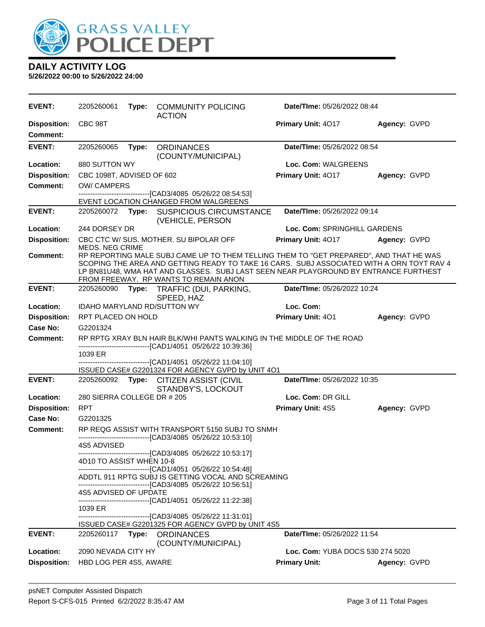

| EVENT:                                 | 2205260061                   | Type: | <b>COMMUNITY POLICING</b><br><b>ACTION</b>                                                                                                                                                                                                                                                                           | <b>Date/Time: 05/26/2022 08:44</b> |              |
|----------------------------------------|------------------------------|-------|----------------------------------------------------------------------------------------------------------------------------------------------------------------------------------------------------------------------------------------------------------------------------------------------------------------------|------------------------------------|--------------|
| <b>Disposition:</b><br><b>Comment:</b> | CBC 98T                      |       |                                                                                                                                                                                                                                                                                                                      | Primary Unit: 4017                 | Agency: GVPD |
| <b>EVENT:</b>                          | 2205260065                   | Type: | <b>ORDINANCES</b><br>(COUNTY/MUNICIPAL)                                                                                                                                                                                                                                                                              | Date/TIme: 05/26/2022 08:54        |              |
| Location:                              | 880 SUTTON WY                |       |                                                                                                                                                                                                                                                                                                                      | Loc. Com: WALGREENS                |              |
| <b>Disposition:</b>                    | CBC 1098T, ADVISED OF 602    |       |                                                                                                                                                                                                                                                                                                                      | Primary Unit: 4017                 | Agency: GVPD |
| <b>Comment:</b>                        | <b>OW/ CAMPERS</b>           |       |                                                                                                                                                                                                                                                                                                                      |                                    |              |
|                                        |                              |       | ------------------------[CAD3/4085 05/26/22 08:54:53]<br>EVENT LOCATION CHANGED FROM WALGREENS                                                                                                                                                                                                                       |                                    |              |
| <b>EVENT:</b>                          | 2205260072 Type:             |       | <b>SUSPICIOUS CIRCUMSTANCE</b><br>(VEHICLE, PERSON                                                                                                                                                                                                                                                                   | Date/TIme: 05/26/2022 09:14        |              |
| Location:                              | 244 DORSEY DR                |       |                                                                                                                                                                                                                                                                                                                      | Loc. Com: SPRINGHILL GARDENS       |              |
| <b>Disposition:</b>                    | <b>MEDS. NEG CRIME</b>       |       | CBC CTC W/ SUS. MOTHER. SU BIPOLAR OFF                                                                                                                                                                                                                                                                               | Primary Unit: 4017                 | Agency: GVPD |
| <b>Comment:</b>                        |                              |       | RP REPORTING MALE SUBJ CAME UP TO THEM TELLING THEM TO "GET PREPARED", AND THAT HE WAS<br>SCOPING THE AREA AND GETTING READY TO TAKE 16 CARS. SUBJ ASSOCIATED WITH A ORN TOYT RAV 4<br>LP BN81U48, WMA HAT AND GLASSES. SUBJ LAST SEEN NEAR PLAYGROUND BY ENTRANCE FURTHEST<br>FROM FREEWAY. RP WANTS TO REMAIN ANON |                                    |              |
| <b>EVENT:</b>                          | 2205260090                   | Type: | TRAFFIC (DUI, PARKING,<br>SPEED, HAZ                                                                                                                                                                                                                                                                                 | Date/TIme: 05/26/2022 10:24        |              |
| Location:                              |                              |       | IDAHO MARYLAND RD/SUTTON WY                                                                                                                                                                                                                                                                                          | Loc. Com:                          |              |
| <b>Disposition:</b>                    | RPT PLACED ON HOLD           |       |                                                                                                                                                                                                                                                                                                                      | Primary Unit: 401                  | Agency: GVPD |
| <b>Case No:</b>                        | G2201324                     |       |                                                                                                                                                                                                                                                                                                                      |                                    |              |
| Comment:                               |                              |       | RP RPTG XRAY BLN HAIR BLK/WHI PANTS WALKING IN THE MIDDLE OF THE ROAD                                                                                                                                                                                                                                                |                                    |              |
|                                        | 1039 ER                      |       | -------------------------------[CAD1/4051 05/26/22 10:39:36]                                                                                                                                                                                                                                                         |                                    |              |
|                                        |                              |       | -------------------------------[CAD1/4051 05/26/22 11:04:10]                                                                                                                                                                                                                                                         |                                    |              |
|                                        |                              |       | ISSUED CASE# G2201324 FOR AGENCY GVPD by UNIT 4O1                                                                                                                                                                                                                                                                    |                                    |              |
| <b>EVENT:</b>                          |                              |       | 2205260092 Type: CITIZEN ASSIST (CIVIL<br>STANDBY'S, LOCKOUT                                                                                                                                                                                                                                                         | Date/TIme: 05/26/2022 10:35        |              |
| Location:                              | 280 SIERRA COLLEGE DR # 205  |       |                                                                                                                                                                                                                                                                                                                      | Loc. Com: DR GILL                  |              |
| <b>Disposition:</b>                    | <b>RPT</b>                   |       |                                                                                                                                                                                                                                                                                                                      | Primary Unit: 4S5                  | Agency: GVPD |
| Case No:                               | G2201325                     |       |                                                                                                                                                                                                                                                                                                                      |                                    |              |
| Comment:                               |                              |       | RP REQG ASSIST WITH TRANSPORT 5150 SUBJ TO SNMH<br>--------------------------[CAD3/4085_05/26/22_10:53:10]                                                                                                                                                                                                           |                                    |              |
|                                        | 4S5 ADVISED                  |       |                                                                                                                                                                                                                                                                                                                      |                                    |              |
|                                        |                              |       | ---------------------[CAD3/4085 05/26/22 10:53:17]                                                                                                                                                                                                                                                                   |                                    |              |
|                                        | 4D10 TO ASSIST WHEN 10-8     |       | -------------------------------[CAD1/4051 05/26/22 10:54:48]                                                                                                                                                                                                                                                         |                                    |              |
|                                        |                              |       | ADDTL 911 RPTG SUBJ IS GETTING VOCAL AND SCREAMING                                                                                                                                                                                                                                                                   |                                    |              |
|                                        |                              |       |                                                                                                                                                                                                                                                                                                                      |                                    |              |
|                                        | <b>4S5 ADVISED OF UPDATE</b> |       | ---------------------------------[CAD1/4051_05/26/22 11:22:38]                                                                                                                                                                                                                                                       |                                    |              |
|                                        | 1039 ER                      |       |                                                                                                                                                                                                                                                                                                                      |                                    |              |
|                                        |                              |       | --------------------------------[CAD3/4085 05/26/22 11:31:01]                                                                                                                                                                                                                                                        |                                    |              |
| <b>EVENT:</b>                          |                              |       | ISSUED CASE# G2201325 FOR AGENCY GVPD by UNIT 4S5<br>2205260117 Type: ORDINANCES                                                                                                                                                                                                                                     | Date/TIme: 05/26/2022 11:54        |              |
|                                        |                              |       | (COUNTY/MUNICIPAL)                                                                                                                                                                                                                                                                                                   |                                    |              |
| Location:                              | 2090 NEVADA CITY HY          |       |                                                                                                                                                                                                                                                                                                                      | Loc. Com: YUBA DOCS 530 274 5020   |              |
| <b>Disposition:</b>                    | HBD LOG PER 4S5, AWARE       |       |                                                                                                                                                                                                                                                                                                                      | <b>Primary Unit:</b>               | Agency: GVPD |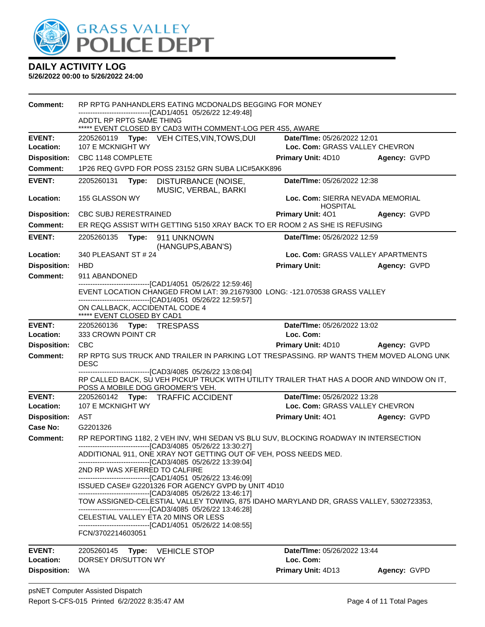

| Comment:                   | RP RPTG PANHANDLERS EATING MCDONALDS BEGGING FOR MONEY<br>-------------------------------[CAD1/4051 05/26/22 12:49:48]                                                             |                                                                                                                                                                                                    |                                                                                                        |                                                                                            |              |  |  |
|----------------------------|------------------------------------------------------------------------------------------------------------------------------------------------------------------------------------|----------------------------------------------------------------------------------------------------------------------------------------------------------------------------------------------------|--------------------------------------------------------------------------------------------------------|--------------------------------------------------------------------------------------------|--------------|--|--|
|                            | ADDTL RP RPTG SAME THING                                                                                                                                                           |                                                                                                                                                                                                    | ***** EVENT CLOSED BY CAD3 WITH COMMENT-LOG PER 4S5, AWARE                                             |                                                                                            |              |  |  |
| <b>EVENT:</b>              |                                                                                                                                                                                    |                                                                                                                                                                                                    | 2205260119 Type: VEH CITES, VIN, TOWS, DUI                                                             | Date/TIme: 05/26/2022 12:01                                                                |              |  |  |
| Location:                  | 107 E MCKNIGHT WY                                                                                                                                                                  |                                                                                                                                                                                                    |                                                                                                        | Loc. Com: GRASS VALLEY CHEVRON                                                             |              |  |  |
| <b>Disposition:</b>        | CBC 1148 COMPLETE                                                                                                                                                                  |                                                                                                                                                                                                    |                                                                                                        | Primary Unit: 4D10                                                                         | Agency: GVPD |  |  |
| <b>Comment:</b>            |                                                                                                                                                                                    |                                                                                                                                                                                                    | 1P26 REQ GVPD FOR POSS 23152 GRN SUBA LIC#5AKK896                                                      |                                                                                            |              |  |  |
| <b>EVENT:</b>              | 2205260131                                                                                                                                                                         | Type:                                                                                                                                                                                              | DISTURBANCE (NOISE,<br>MUSIC, VERBAL, BARKI                                                            | Date/TIme: 05/26/2022 12:38                                                                |              |  |  |
| Location:                  | 155 GLASSON WY                                                                                                                                                                     |                                                                                                                                                                                                    |                                                                                                        | Loc. Com: SIERRA NEVADA MEMORIAL<br><b>HOSPITAL</b>                                        |              |  |  |
| <b>Disposition:</b>        | <b>CBC SUBJ RERESTRAINED</b>                                                                                                                                                       |                                                                                                                                                                                                    |                                                                                                        | <b>Primary Unit: 401</b>                                                                   | Agency: GVPD |  |  |
| <b>Comment:</b>            |                                                                                                                                                                                    |                                                                                                                                                                                                    |                                                                                                        | ER REQG ASSIST WITH GETTING 5150 XRAY BACK TO ER ROOM 2 AS SHE IS REFUSING                 |              |  |  |
| <b>EVENT:</b>              |                                                                                                                                                                                    |                                                                                                                                                                                                    | (HANGUPS, ABAN'S)                                                                                      | Date/TIme: 05/26/2022 12:59                                                                |              |  |  |
| <b>Location:</b>           | 340 PLEASANT ST # 24                                                                                                                                                               |                                                                                                                                                                                                    |                                                                                                        | Loc. Com: GRASS VALLEY APARTMENTS                                                          |              |  |  |
| <b>Disposition:</b>        | <b>HBD</b>                                                                                                                                                                         |                                                                                                                                                                                                    |                                                                                                        | <b>Primary Unit:</b>                                                                       | Agency: GVPD |  |  |
| <b>Comment:</b>            | 911 ABANDONED                                                                                                                                                                      |                                                                                                                                                                                                    |                                                                                                        |                                                                                            |              |  |  |
|                            |                                                                                                                                                                                    |                                                                                                                                                                                                    | -------------------------------[CAD1/4051 05/26/22 12:59:46]                                           |                                                                                            |              |  |  |
|                            |                                                                                                                                                                                    |                                                                                                                                                                                                    | -------------------------------[CAD1/4051_05/26/22 12:59:57]                                           | EVENT LOCATION CHANGED FROM LAT: 39.21679300 LONG: -121.070538 GRASS VALLEY                |              |  |  |
|                            |                                                                                                                                                                                    |                                                                                                                                                                                                    | ON CALLBACK, ACCIDENTAL CODE 4                                                                         |                                                                                            |              |  |  |
|                            | ***** EVENT CLOSED BY CAD1                                                                                                                                                         |                                                                                                                                                                                                    |                                                                                                        | Date/TIme: 05/26/2022 13:02                                                                |              |  |  |
| <b>EVENT:</b><br>Location: | 333 CROWN POINT CR                                                                                                                                                                 |                                                                                                                                                                                                    | 2205260136    Type: TRESPASS                                                                           | Loc. Com:                                                                                  |              |  |  |
| <b>Disposition:</b>        | <b>CBC</b>                                                                                                                                                                         |                                                                                                                                                                                                    |                                                                                                        | <b>Primary Unit: 4D10</b>                                                                  | Agency: GVPD |  |  |
| <b>Comment:</b>            |                                                                                                                                                                                    |                                                                                                                                                                                                    |                                                                                                        | RP RPTG SUS TRUCK AND TRAILER IN PARKING LOT TRESPASSING. RP WANTS THEM MOVED ALONG UNK    |              |  |  |
|                            | <b>DESC</b>                                                                                                                                                                        |                                                                                                                                                                                                    |                                                                                                        |                                                                                            |              |  |  |
|                            |                                                                                                                                                                                    |                                                                                                                                                                                                    | -------------------------------[CAD3/4085 05/26/22 13:08:04]                                           | RP CALLED BACK, SU VEH PICKUP TRUCK WITH UTILITY TRAILER THAT HAS A DOOR AND WINDOW ON IT, |              |  |  |
|                            |                                                                                                                                                                                    |                                                                                                                                                                                                    | POSS A MOBILE DOG GROOMER'S VEH.                                                                       |                                                                                            |              |  |  |
| <b>EVENT:</b>              |                                                                                                                                                                                    |                                                                                                                                                                                                    | 2205260142 Type: TRAFFIC ACCIDENT                                                                      | Date/TIme: 05/26/2022 13:28                                                                |              |  |  |
| Location:                  | 107 E MCKNIGHT WY                                                                                                                                                                  |                                                                                                                                                                                                    |                                                                                                        | Loc. Com: GRASS VALLEY CHEVRON                                                             |              |  |  |
| <b>Disposition:</b>        | AST                                                                                                                                                                                |                                                                                                                                                                                                    |                                                                                                        | <b>Primary Unit: 401</b>                                                                   | Agency: GVPD |  |  |
| Case No:                   | G2201326                                                                                                                                                                           |                                                                                                                                                                                                    |                                                                                                        |                                                                                            |              |  |  |
| <b>Comment:</b>            |                                                                                                                                                                                    |                                                                                                                                                                                                    |                                                                                                        | RP REPORTING 1182, 2 VEH INV, WHI SEDAN VS BLU SUV, BLOCKING ROADWAY IN INTERSECTION       |              |  |  |
|                            |                                                                                                                                                                                    | ---------------------------------[CAD3/4085 05/26/22 13:30:27]<br>ADDITIONAL 911, ONE XRAY NOT GETTING OUT OF VEH, POSS NEEDS MED.<br>-------------------------------[CAD3/4085 05/26/22 13:39:04] |                                                                                                        |                                                                                            |              |  |  |
|                            |                                                                                                                                                                                    |                                                                                                                                                                                                    | 2ND RP WAS XFERRED TO CALFIRE                                                                          |                                                                                            |              |  |  |
|                            | ------------------------------[CAD1/4051 05/26/22 13:46:09]<br>ISSUED CASE# G2201326 FOR AGENCY GVPD by UNIT 4D10<br>--------------------------------[CAD3/4085 05/26/22 13:46:17] |                                                                                                                                                                                                    |                                                                                                        |                                                                                            |              |  |  |
|                            |                                                                                                                                                                                    |                                                                                                                                                                                                    | --------------------------------[CAD3/4085 05/26/22 13:46:28]                                          | TOW ASSIGNED-CELESTIAL VALLEY TOWING, 875 IDAHO MARYLAND DR, GRASS VALLEY, 5302723353,     |              |  |  |
|                            |                                                                                                                                                                                    |                                                                                                                                                                                                    | CELESTIAL VALLEY ETA 20 MINS OR LESS<br>---------------------------------[CAD1/4051_05/26/22 14:08:55] |                                                                                            |              |  |  |
|                            | FCN/3702214603051                                                                                                                                                                  |                                                                                                                                                                                                    |                                                                                                        |                                                                                            |              |  |  |
| <b>EVENT:</b><br>Location: | 2205260145<br>DORSEY DR/SUTTON WY                                                                                                                                                  | Type:                                                                                                                                                                                              | <b>VEHICLE STOP</b>                                                                                    | Date/TIme: 05/26/2022 13:44<br>Loc. Com:                                                   |              |  |  |
| <b>Disposition:</b>        | <b>WA</b>                                                                                                                                                                          |                                                                                                                                                                                                    |                                                                                                        | <b>Primary Unit: 4D13</b>                                                                  | Agency: GVPD |  |  |
|                            |                                                                                                                                                                                    |                                                                                                                                                                                                    |                                                                                                        |                                                                                            |              |  |  |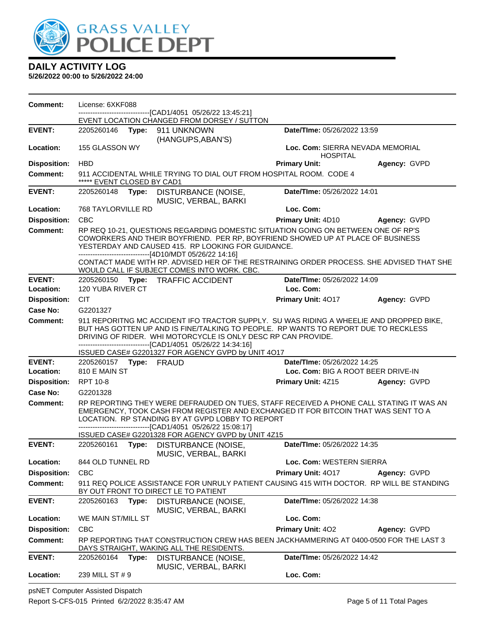

**5/26/2022 00:00 to 5/26/2022 24:00**

| Comment:            | License: 6XKF088                   | -------------------------------[CAD1/4051 05/26/22 13:45:21]                                                                                                                                                                                                                                                                                                                                                                      |                                                     |              |
|---------------------|------------------------------------|-----------------------------------------------------------------------------------------------------------------------------------------------------------------------------------------------------------------------------------------------------------------------------------------------------------------------------------------------------------------------------------------------------------------------------------|-----------------------------------------------------|--------------|
|                     |                                    | EVENT LOCATION CHANGED FROM DORSEY / SUTTON                                                                                                                                                                                                                                                                                                                                                                                       |                                                     |              |
| <b>EVENT:</b>       | 2205260146    Type: 911    UNKNOWN | (HANGUPS, ABAN'S)                                                                                                                                                                                                                                                                                                                                                                                                                 | Date/TIme: 05/26/2022 13:59                         |              |
| Location:           | 155 GLASSON WY                     |                                                                                                                                                                                                                                                                                                                                                                                                                                   | Loc. Com: SIERRA NEVADA MEMORIAL<br><b>HOSPITAL</b> |              |
| <b>Disposition:</b> | <b>HBD</b>                         |                                                                                                                                                                                                                                                                                                                                                                                                                                   | <b>Primary Unit:</b>                                | Agency: GVPD |
| <b>Comment:</b>     | ***** EVENT CLOSED BY CAD1         | 911 ACCIDENTAL WHILE TRYING TO DIAL OUT FROM HOSPITAL ROOM. CODE 4                                                                                                                                                                                                                                                                                                                                                                |                                                     |              |
| <b>EVENT:</b>       | 2205260148<br>Type:                | <b>DISTURBANCE (NOISE,</b><br>MUSIC, VERBAL, BARKI                                                                                                                                                                                                                                                                                                                                                                                | Date/TIme: 05/26/2022 14:01                         |              |
| Location:           | 768 TAYLORVILLE RD                 |                                                                                                                                                                                                                                                                                                                                                                                                                                   | Loc. Com:                                           |              |
| <b>Disposition:</b> | <b>CBC</b>                         |                                                                                                                                                                                                                                                                                                                                                                                                                                   | Primary Unit: 4D10                                  | Agency: GVPD |
| <b>Comment:</b>     |                                    | RP REQ 10-21, QUESTIONS REGARDING DOMESTIC SITUATION GOING ON BETWEEN ONE OF RP'S<br>COWORKERS AND THEIR BOYFRIEND. PER RP, BOYFRIEND SHOWED UP AT PLACE OF BUSINESS<br>YESTERDAY AND CAUSED 415. RP LOOKING FOR GUIDANCE.<br>-------------------------------[4D10/MDT 05/26/22 14:16]<br>CONTACT MADE WITH RP. ADVISED HER OF THE RESTRAINING ORDER PROCESS. SHE ADVISED THAT SHE<br>WOULD CALL IF SUBJECT COMES INTO WORK. CBC. |                                                     |              |
| <b>EVENT:</b>       |                                    | 2205260150 Type: TRAFFIC ACCIDENT                                                                                                                                                                                                                                                                                                                                                                                                 | Date/TIme: 05/26/2022 14:09                         |              |
| Location:           | 120 YUBA RIVER CT                  |                                                                                                                                                                                                                                                                                                                                                                                                                                   | Loc. Com:                                           |              |
| <b>Disposition:</b> | <b>CIT</b>                         |                                                                                                                                                                                                                                                                                                                                                                                                                                   | Primary Unit: 4017                                  | Agency: GVPD |
| Case No:            | G2201327                           |                                                                                                                                                                                                                                                                                                                                                                                                                                   |                                                     |              |
| <b>Comment:</b>     |                                    | 911 REPORITNG MC ACCIDENT IFO TRACTOR SUPPLY. SU WAS RIDING A WHEELIE AND DROPPED BIKE,<br>BUT HAS GOTTEN UP AND IS FINE/TALKING TO PEOPLE. RP WANTS TO REPORT DUE TO RECKLESS<br>DRIVING OF RIDER. WHI MOTORCYCLE IS ONLY DESC RP CAN PROVIDE.<br>-------------------------------[CAD1/4051 05/26/22 14:34:16]<br>ISSUED CASE# G2201327 FOR AGENCY GVPD by UNIT 4O17                                                             |                                                     |              |
| <b>EVENT:</b>       | 2205260157    Type: FRAUD          |                                                                                                                                                                                                                                                                                                                                                                                                                                   | Date/TIme: 05/26/2022 14:25                         |              |
| Location:           | 810 E MAIN ST                      |                                                                                                                                                                                                                                                                                                                                                                                                                                   | Loc. Com: BIG A ROOT BEER DRIVE-IN                  |              |
| <b>Disposition:</b> | <b>RPT 10-8</b>                    |                                                                                                                                                                                                                                                                                                                                                                                                                                   | <b>Primary Unit: 4Z15</b>                           | Agency: GVPD |
| Case No:            | G2201328                           |                                                                                                                                                                                                                                                                                                                                                                                                                                   |                                                     |              |
| <b>Comment:</b>     |                                    | RP REPORTING THEY WERE DEFRAUDED ON TUES, STAFF RECEIVED A PHONE CALL STATING IT WAS AN<br>EMERGENCY, TOOK CASH FROM REGISTER AND EXCHANGED IT FOR BITCOIN THAT WAS SENT TO A<br>LOCATION. RP STANDING BY AT GVPD LOBBY TO REPORT<br>---------------------------------[CAD1/4051 05/26/22 15:08:17]<br>ISSUED CASE# G2201328 FOR AGENCY GVPD by UNIT 4Z15                                                                         |                                                     |              |
| <b>EVENT:</b>       | 2205260161<br>Type:                | DISTURBANCE (NOISE,<br>MUSIC, VERBAL, BARKI                                                                                                                                                                                                                                                                                                                                                                                       | Date/TIme: 05/26/2022 14:35                         |              |
| Location:           | 844 OLD TUNNEL RD                  |                                                                                                                                                                                                                                                                                                                                                                                                                                   | Loc. Com: WESTERN SIERRA                            |              |
| <b>Disposition:</b> | <b>CBC</b>                         |                                                                                                                                                                                                                                                                                                                                                                                                                                   | Primary Unit: 4017                                  | Agency: GVPD |
| Comment:            |                                    | 911 REQ POLICE ASSISTANCE FOR UNRULY PATIENT CAUSING 415 WITH DOCTOR. RP WILL BE STANDING<br>BY OUT FRONT TO DIRECT LE TO PATIENT                                                                                                                                                                                                                                                                                                 |                                                     |              |
| <b>EVENT:</b>       | 2205260163<br>Type:                | DISTURBANCE (NOISE,<br>MUSIC, VERBAL, BARKI                                                                                                                                                                                                                                                                                                                                                                                       | Date/TIme: 05/26/2022 14:38                         |              |
| Location:           | WE MAIN ST/MILL ST                 |                                                                                                                                                                                                                                                                                                                                                                                                                                   | Loc. Com:                                           |              |
| <b>Disposition:</b> | CBC                                |                                                                                                                                                                                                                                                                                                                                                                                                                                   | Primary Unit: 402                                   | Agency: GVPD |
| <b>Comment:</b>     |                                    | RP REPORTING THAT CONSTRUCTION CREW HAS BEEN JACKHAMMERING AT 0400-0500 FOR THE LAST 3<br>DAYS STRAIGHT, WAKING ALL THE RESIDENTS.                                                                                                                                                                                                                                                                                                |                                                     |              |
| <b>EVENT:</b>       | 2205260164<br>Type:                | DISTURBANCE (NOISE,<br>MUSIC, VERBAL, BARKI                                                                                                                                                                                                                                                                                                                                                                                       | Date/TIme: 05/26/2022 14:42                         |              |
| Location:           | 239 MILL ST # 9                    |                                                                                                                                                                                                                                                                                                                                                                                                                                   | Loc. Com:                                           |              |

psNET Computer Assisted Dispatch

Report S-CFS-015 Printed 6/2/2022 8:35:47 AM Page 5 of 11 Total Pages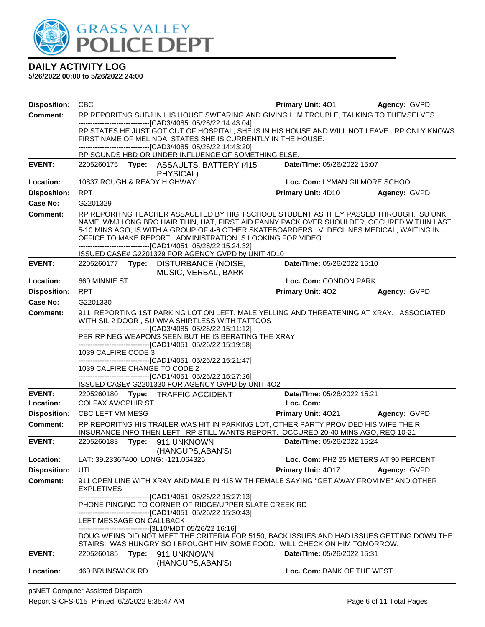

| <b>Disposition:</b>                    | <b>CBC</b>                                                                                                                                                   |                                                                                                                                                                                    | <b>Primary Unit: 401</b>       | Agency: GVPD                          |  |  |
|----------------------------------------|--------------------------------------------------------------------------------------------------------------------------------------------------------------|------------------------------------------------------------------------------------------------------------------------------------------------------------------------------------|--------------------------------|---------------------------------------|--|--|
| <b>Comment:</b>                        |                                                                                                                                                              | RP REPORITNG SUBJ IN HIS HOUSE SWEARING AND GIVING HIM TROUBLE, TALKING TO THEMSELVES                                                                                              |                                |                                       |  |  |
|                                        | -------------------------------[CAD3/4085 05/26/22 14:43:04]<br>RP STATES HE JUST GOT OUT OF HOSPITAL, SHE IS IN HIS HOUSE AND WILL NOT LEAVE. RP ONLY KNOWS |                                                                                                                                                                                    |                                |                                       |  |  |
|                                        |                                                                                                                                                              | FIRST NAME OF MELINDA, STATES SHE IS CURRENTLY IN THE HOUSE.                                                                                                                       |                                |                                       |  |  |
|                                        |                                                                                                                                                              | ---------------------------------[CAD3/4085 05/26/22 14:43:20]<br>RP SOUNDS HBD OR UNDER INFLUENCE OF SOMETHING ELSE.                                                              |                                |                                       |  |  |
| <b>EVENT:</b>                          |                                                                                                                                                              | 2205260175 Type: ASSAULTS, BATTERY (415                                                                                                                                            | Date/TIme: 05/26/2022 15:07    |                                       |  |  |
|                                        |                                                                                                                                                              | PHYSICAL)                                                                                                                                                                          |                                |                                       |  |  |
| Location:                              | 10837 ROUGH & READY HIGHWAY                                                                                                                                  |                                                                                                                                                                                    | Loc. Com: LYMAN GILMORE SCHOOL |                                       |  |  |
| <b>Disposition:</b>                    | <b>RPT</b>                                                                                                                                                   |                                                                                                                                                                                    | Primary Unit: 4D10             | Agency: GVPD                          |  |  |
| <b>Case No:</b>                        | G2201329                                                                                                                                                     |                                                                                                                                                                                    |                                |                                       |  |  |
| Comment:                               |                                                                                                                                                              | RP REPORITNG TEACHER ASSAULTED BY HIGH SCHOOL STUDENT AS THEY PASSED THROUGH. SU UNK<br>NAME, WMJ LONG BRO HAIR THIN, HAT, FIRST AID FANNY PACK OVER SHOULDER, OCCURED WITHIN LAST |                                |                                       |  |  |
|                                        |                                                                                                                                                              | 5-10 MINS AGO, IS WITH A GROUP OF 4-6 OTHER SKATEBOARDERS. VI DECLINES MEDICAL, WAITING IN                                                                                         |                                |                                       |  |  |
|                                        |                                                                                                                                                              | OFFICE TO MAKE REPORT. ADMINISTRATION IS LOOKING FOR VIDEO<br>-------------------------------[CAD1/4051 05/26/22 15:24:32]                                                         |                                |                                       |  |  |
|                                        |                                                                                                                                                              | ISSUED CASE# G2201329 FOR AGENCY GVPD by UNIT 4D10                                                                                                                                 |                                |                                       |  |  |
| <b>EVENT:</b>                          |                                                                                                                                                              | 2205260177 Type: DISTURBANCE (NOISE,<br>MUSIC, VERBAL, BARKI                                                                                                                       | Date/TIme: 05/26/2022 15:10    |                                       |  |  |
| Location:                              | 660 MINNIE ST                                                                                                                                                |                                                                                                                                                                                    | Loc. Com: CONDON PARK          |                                       |  |  |
| <b>Disposition:</b>                    | <b>RPT</b>                                                                                                                                                   |                                                                                                                                                                                    | <b>Primary Unit: 402</b>       | Agency: GVPD                          |  |  |
| Case No:                               | G2201330                                                                                                                                                     |                                                                                                                                                                                    |                                |                                       |  |  |
| Comment:                               |                                                                                                                                                              | 911 REPORTING 1ST PARKING LOT ON LEFT, MALE YELLING AND THREATENING AT XRAY. ASSOCIATED<br>WITH SIL 2 DOOR, SU WMA SHIRTLESS WITH TATTOOS                                          |                                |                                       |  |  |
|                                        |                                                                                                                                                              | ----------------------------------[CAD3/4085 05/26/22 15:11:12]                                                                                                                    |                                |                                       |  |  |
|                                        |                                                                                                                                                              | PER RP NEG WEAPONS SEEN BUT HE IS BERATING THE XRAY<br>-------------------------------[CAD1/4051 05/26/22 15:19:58]                                                                |                                |                                       |  |  |
|                                        | 1039 CALFIRE CODE 3                                                                                                                                          |                                                                                                                                                                                    |                                |                                       |  |  |
|                                        |                                                                                                                                                              | -------------------------------[CAD1/4051 05/26/22 15:21:47]                                                                                                                       |                                |                                       |  |  |
|                                        | 1039 CALFIRE CHANGE TO CODE 2                                                                                                                                | -------------------------------[CAD1/4051 05/26/22 15:27:26]                                                                                                                       |                                |                                       |  |  |
|                                        |                                                                                                                                                              | ISSUED CASE# G2201330 FOR AGENCY GVPD by UNIT 4O2                                                                                                                                  |                                |                                       |  |  |
| <b>EVENT:</b>                          |                                                                                                                                                              | 2205260180 Type: TRAFFIC ACCIDENT                                                                                                                                                  | Date/TIme: 05/26/2022 15:21    |                                       |  |  |
| Location:                              | <b>COLFAX AV/OPHIR ST</b>                                                                                                                                    |                                                                                                                                                                                    | Loc. Com:                      |                                       |  |  |
| <b>Disposition:</b><br><b>Comment:</b> | CBC LEFT VM MESG                                                                                                                                             |                                                                                                                                                                                    | Primary Unit: 4021             | Agency: GVPD                          |  |  |
|                                        |                                                                                                                                                              | RP REPORITNG HIS TRAILER WAS HIT IN PARKING LOT, OTHER PARTY PROVIDED HIS WIFE THEIR<br>INSURANCE INFO THEN LEFT. RP STILL WANTS REPORT. OCCURED 20-40 MINS AGO, REQ 10-21         |                                |                                       |  |  |
| <b>EVENT:</b>                          | 2205260183<br>Type:                                                                                                                                          | 911 UNKNOWN                                                                                                                                                                        | Date/TIme: 05/26/2022 15:24    |                                       |  |  |
|                                        |                                                                                                                                                              | (HANGUPS, ABAN'S)                                                                                                                                                                  |                                |                                       |  |  |
| Location:<br><b>Disposition:</b>       | LAT: 39.23367400 LONG: -121.064325<br>UTL                                                                                                                    |                                                                                                                                                                                    |                                | Loc. Com: PH2 25 METERS AT 90 PERCENT |  |  |
| <b>Comment:</b>                        |                                                                                                                                                              | 911 OPEN LINE WITH XRAY AND MALE IN 415 WITH FEMALE SAYING "GET AWAY FROM ME" AND OTHER                                                                                            | <b>Primary Unit: 4017</b>      | Agency: GVPD                          |  |  |
|                                        | EXPLETIVES.                                                                                                                                                  |                                                                                                                                                                                    |                                |                                       |  |  |
|                                        |                                                                                                                                                              | -------------------------------[CAD1/4051 05/26/22 15:27:13]                                                                                                                       |                                |                                       |  |  |
|                                        |                                                                                                                                                              | PHONE PINGING TO CORNER OF RIDGE/UPPER SLATE CREEK RD<br>-------------------------------[CAD1/4051 05/26/22 15:30:43]                                                              |                                |                                       |  |  |
|                                        | LEFT MESSAGE ON CALLBACK                                                                                                                                     |                                                                                                                                                                                    |                                |                                       |  |  |
|                                        |                                                                                                                                                              | ------------------------------[3L10/MDT 05/26/22 16:16]<br>DOUG WEINS DID NOT MEET THE CRITERIA FOR 5150, BACK ISSUES AND HAD ISSUES GETTING DOWN THE                              |                                |                                       |  |  |
|                                        |                                                                                                                                                              | STAIRS. WAS HUNGRY SO I BROUGHT HIM SOME FOOD. WILL CHECK ON HIM TOMORROW.                                                                                                         |                                |                                       |  |  |
| <b>EVENT:</b>                          | 2205260185 Type: 911 UNKNOWN                                                                                                                                 |                                                                                                                                                                                    | Date/TIme: 05/26/2022 15:31    |                                       |  |  |
|                                        |                                                                                                                                                              | (HANGUPS, ABAN'S)                                                                                                                                                                  |                                |                                       |  |  |
| Location:                              | 460 BRUNSWICK RD                                                                                                                                             |                                                                                                                                                                                    | Loc. Com: BANK OF THE WEST     |                                       |  |  |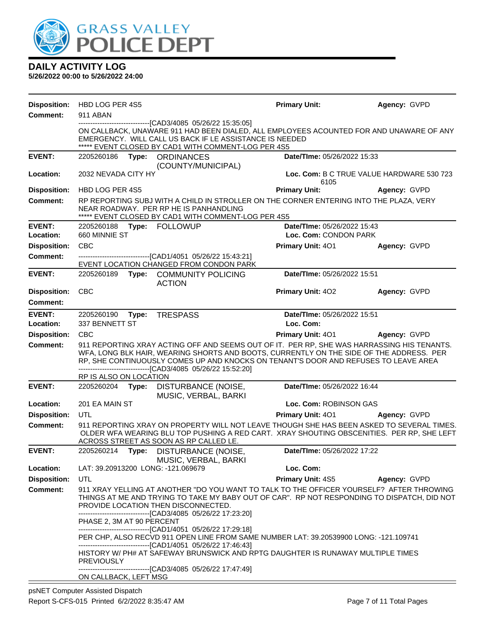

| <b>Disposition:</b> | HBD LOG PER 4S5                                |                                                                                                                                                                                                                                                                                                                                                                                                                                                                                                                                                                                                                | <b>Primary Unit:</b>           | Agency: GVPD                              |
|---------------------|------------------------------------------------|----------------------------------------------------------------------------------------------------------------------------------------------------------------------------------------------------------------------------------------------------------------------------------------------------------------------------------------------------------------------------------------------------------------------------------------------------------------------------------------------------------------------------------------------------------------------------------------------------------------|--------------------------------|-------------------------------------------|
| <b>Comment:</b>     | 911 ABAN                                       |                                                                                                                                                                                                                                                                                                                                                                                                                                                                                                                                                                                                                |                                |                                           |
|                     |                                                | ON CALLBACK, UNAWARE 911 HAD BEEN DIALED, ALL EMPLOYEES ACOUNTED FOR AND UNAWARE OF ANY<br>EMERGENCY. WILL CALL US BACK IF LE ASSISTANCE IS NEEDED<br>***** EVENT CLOSED BY CAD1 WITH COMMENT-LOG PER 4S5                                                                                                                                                                                                                                                                                                                                                                                                      |                                |                                           |
| <b>EVENT:</b>       | 2205260186 Type: ORDINANCES                    |                                                                                                                                                                                                                                                                                                                                                                                                                                                                                                                                                                                                                | Date/TIme: 05/26/2022 15:33    |                                           |
| Location:           | 2032 NEVADA CITY HY                            | (COUNTY/MUNICIPAL)                                                                                                                                                                                                                                                                                                                                                                                                                                                                                                                                                                                             | 6105                           | Loc. Com: B C TRUE VALUE HARDWARE 530 723 |
| <b>Disposition:</b> | HBD LOG PER 4S5                                |                                                                                                                                                                                                                                                                                                                                                                                                                                                                                                                                                                                                                | <b>Primary Unit:</b>           | Agency: GVPD                              |
| <b>Comment:</b>     |                                                | RP REPORTING SUBJ WITH A CHILD IN STROLLER ON THE CORNER ENTERING INTO THE PLAZA, VERY<br>NEAR ROADWAY. PER RP HE IS PANHANDLING<br>***** EVENT CLOSED BY CAD1 WITH COMMENT-LOG PER 4S5                                                                                                                                                                                                                                                                                                                                                                                                                        |                                |                                           |
| <b>EVENT:</b>       | 2205260188 Type: FOLLOWUP                      |                                                                                                                                                                                                                                                                                                                                                                                                                                                                                                                                                                                                                | Date/TIme: 05/26/2022 15:43    |                                           |
| Location:           | 660 MINNIE ST                                  |                                                                                                                                                                                                                                                                                                                                                                                                                                                                                                                                                                                                                | Loc. Com: CONDON PARK          |                                           |
| <b>Disposition:</b> | <b>CBC</b>                                     |                                                                                                                                                                                                                                                                                                                                                                                                                                                                                                                                                                                                                | <b>Primary Unit: 401</b>       | Agency: GVPD                              |
| Comment:            |                                                | ----------------------------------[CAD1/4051 05/26/22 15:43:21]<br>EVENT LOCATION CHANGED FROM CONDON PARK                                                                                                                                                                                                                                                                                                                                                                                                                                                                                                     |                                |                                           |
| <b>EVENT:</b>       |                                                | 2205260189 Type: COMMUNITY POLICING<br><b>ACTION</b>                                                                                                                                                                                                                                                                                                                                                                                                                                                                                                                                                           | Date/TIme: 05/26/2022 15:51    |                                           |
| <b>Disposition:</b> | <b>CBC</b>                                     |                                                                                                                                                                                                                                                                                                                                                                                                                                                                                                                                                                                                                | Primary Unit: 402              | Agency: GVPD                              |
| <b>Comment:</b>     |                                                |                                                                                                                                                                                                                                                                                                                                                                                                                                                                                                                                                                                                                |                                |                                           |
| <b>EVENT:</b>       | 2205260190 Type:                               | <b>TRESPASS</b>                                                                                                                                                                                                                                                                                                                                                                                                                                                                                                                                                                                                | Date/TIme: 05/26/2022 15:51    |                                           |
| Location:           | 337 BENNETT ST                                 |                                                                                                                                                                                                                                                                                                                                                                                                                                                                                                                                                                                                                | Loc. Com:                      |                                           |
| <b>Disposition:</b> | <b>CBC</b>                                     |                                                                                                                                                                                                                                                                                                                                                                                                                                                                                                                                                                                                                | Primary Unit: 401 Agency: GVPD |                                           |
| <b>Comment:</b>     | RP IS ALSO ON LOCATION                         | 911 REPORTING XRAY ACTING OFF AND SEEMS OUT OF IT. PER RP, SHE WAS HARRASSING HIS TENANTS.<br>WFA, LONG BLK HAIR, WEARING SHORTS AND BOOTS, CURRENTLY ON THE SIDE OF THE ADDRESS. PER<br>RP, SHE CONTINUOUSLY COMES UP AND KNOCKS ON TENANT'S DOOR AND REFUSES TO LEAVE AREA<br>-------------------------------[CAD3/4085 05/26/22 15:52:20]                                                                                                                                                                                                                                                                   |                                |                                           |
| <b>EVENT:</b>       |                                                | 2205260204 Type: DISTURBANCE (NOISE,<br>MUSIC, VERBAL, BARKI                                                                                                                                                                                                                                                                                                                                                                                                                                                                                                                                                   | Date/TIme: 05/26/2022 16:44    |                                           |
| Location:           | 201 EA MAIN ST                                 |                                                                                                                                                                                                                                                                                                                                                                                                                                                                                                                                                                                                                | Loc. Com: ROBINSON GAS         |                                           |
| <b>Disposition:</b> | UTL                                            |                                                                                                                                                                                                                                                                                                                                                                                                                                                                                                                                                                                                                | <b>Primary Unit: 401</b>       | Agency: GVPD                              |
| Comment:            |                                                | 911 REPORTING XRAY ON PROPERTY WILL NOT LEAVE THOUGH SHE HAS BEEN ASKED TO SEVERAL TIMES.<br>OLDER WFA WEARING BLU TOP PUSHING A RED CART. XRAY SHOUTING OBSCENITIES. PER RP, SHE LEFT<br>ACROSS STREET AS SOON AS RP CALLED LE.                                                                                                                                                                                                                                                                                                                                                                               |                                |                                           |
| <b>EVENT:</b>       |                                                | 2205260214 Type: DISTURBANCE (NOISE,<br>MUSIC, VERBAL, BARKI                                                                                                                                                                                                                                                                                                                                                                                                                                                                                                                                                   | Date/TIme: 05/26/2022 17:22    |                                           |
| Location:           | LAT: 39.20913200 LONG: -121.069679             |                                                                                                                                                                                                                                                                                                                                                                                                                                                                                                                                                                                                                | Loc. Com:                      |                                           |
| <b>Disposition:</b> | UTL                                            |                                                                                                                                                                                                                                                                                                                                                                                                                                                                                                                                                                                                                | <b>Primary Unit: 4S5</b>       | Agency: GVPD                              |
| <b>Comment:</b>     | PHASE 2, 3M AT 90 PERCENT<br><b>PREVIOUSLY</b> | 911 XRAY YELLING AT ANOTHER "DO YOU WANT TO TALK TO THE OFFICER YOURSELF? AFTER THROWING<br>THINGS AT ME AND TRYING TO TAKE MY BABY OUT OF CAR". RP NOT RESPONDING TO DISPATCH, DID NOT<br>PROVIDE LOCATION THEN DISCONNECTED.<br>----------------------------------[CAD3/4085 05/26/22 17:23:20]<br>--------------------------------[CAD1/4051 05/26/22 17:29:18]<br>PER CHP, ALSO RECVD 911 OPEN LINE FROM SAME NUMBER LAT: 39.20539900 LONG: -121.109741<br>--------------------------------[CAD1/4051 05/26/22 17:46:43]<br>HISTORY W/PH# AT SAFEWAY BRUNSWICK AND RPTG DAUGHTER IS RUNAWAY MULTIPLE TIMES |                                |                                           |
|                     | ON CALLBACK, LEFT MSG                          | -------------------------[CAD3/4085 05/26/22 17:47:49]                                                                                                                                                                                                                                                                                                                                                                                                                                                                                                                                                         |                                |                                           |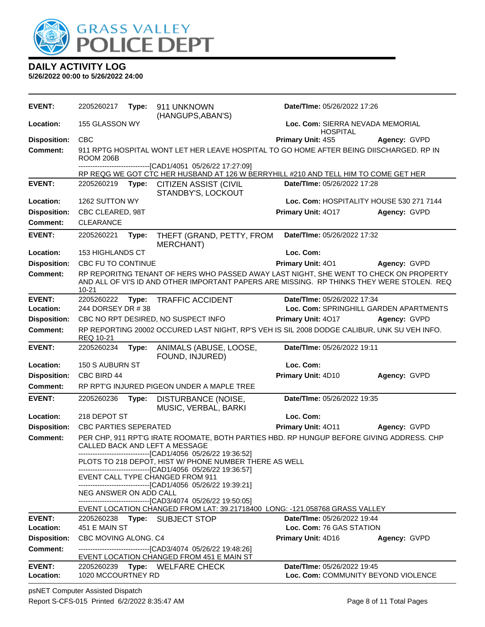

**5/26/2022 00:00 to 5/26/2022 24:00**

| <b>EVENT:</b>              | 2205260217                   | Type: | 911 UNKNOWN<br>(HANGUPS, ABAN'S)                                                                                                                                                       | Date/TIme: 05/26/2022 17:26                                    |                                          |
|----------------------------|------------------------------|-------|----------------------------------------------------------------------------------------------------------------------------------------------------------------------------------------|----------------------------------------------------------------|------------------------------------------|
| Location:                  | 155 GLASSON WY               |       |                                                                                                                                                                                        | Loc. Com: SIERRA NEVADA MEMORIAL<br><b>HOSPITAL</b>            |                                          |
| <b>Disposition:</b>        | <b>CBC</b>                   |       |                                                                                                                                                                                        | Primary Unit: 4S5                                              | Agency: GVPD                             |
| <b>Comment:</b>            | ROOM 206B                    |       | 911 RPTG HOSPITAL WONT LET HER LEAVE HOSPITAL TO GO HOME AFTER BEING DIISCHARGED. RP IN                                                                                                |                                                                |                                          |
|                            |                              |       | ----------------------------[CAD1/4051_05/26/22 17:27:09]<br>RP REQG WE GOT CTC HER HUSBAND AT 126 W BERRYHILL #210 AND TELL HIM TO COME GET HER                                       |                                                                |                                          |
| <b>EVENT:</b>              | 2205260219                   | Type: | <b>CITIZEN ASSIST (CIVIL</b>                                                                                                                                                           | Date/TIme: 05/26/2022 17:28                                    |                                          |
|                            |                              |       | STANDBY'S, LOCKOUT                                                                                                                                                                     |                                                                |                                          |
| Location:                  | 1262 SUTTON WY               |       |                                                                                                                                                                                        |                                                                | Loc. Com: HOSPITALITY HOUSE 530 271 7144 |
| <b>Disposition:</b>        | CBC CLEARED, 98T             |       |                                                                                                                                                                                        | Primary Unit: 4017                                             | Agency: GVPD                             |
| Comment:                   | <b>CLEARANCE</b>             |       |                                                                                                                                                                                        |                                                                |                                          |
| <b>EVENT:</b>              | 2205260221                   | Type: | THEFT (GRAND, PETTY, FROM<br><b>MERCHANT)</b>                                                                                                                                          | Date/TIme: 05/26/2022 17:32                                    |                                          |
| Location:                  | 153 HIGHLANDS CT             |       |                                                                                                                                                                                        | Loc. Com:                                                      |                                          |
| <b>Disposition:</b>        | CBC FU TO CONTINUE           |       |                                                                                                                                                                                        | Primary Unit: 401                                              | Agency: GVPD                             |
| Comment:                   | $10 - 21$                    |       | RP REPORITNG TENANT OF HERS WHO PASSED AWAY LAST NIGHT, SHE WENT TO CHECK ON PROPERTY<br>AND ALL OF VI'S ID AND OTHER IMPORTANT PAPERS ARE MISSING. RP THINKS THEY WERE STOLEN. REQ    |                                                                |                                          |
| <b>EVENT:</b>              | 2205260222                   | Type: | <b>TRAFFIC ACCIDENT</b>                                                                                                                                                                | Date/TIme: 05/26/2022 17:34                                    |                                          |
| Location:                  | 244 DORSEY DR #38            |       |                                                                                                                                                                                        |                                                                | Loc. Com: SPRINGHILL GARDEN APARTMENTS   |
| <b>Disposition:</b>        |                              |       | CBC NO RPT DESIRED, NO SUSPECT INFO                                                                                                                                                    | Primary Unit: 4017                                             | Agency: GVPD                             |
| <b>Comment:</b>            | REQ 10-21                    |       | RP REPORTING 20002 OCCURED LAST NIGHT, RP'S VEH IS SIL 2008 DODGE CALIBUR, UNK SU VEH INFO.                                                                                            |                                                                |                                          |
|                            |                              |       |                                                                                                                                                                                        |                                                                |                                          |
| <b>EVENT:</b>              | 2205260234                   | Type: | ANIMALS (ABUSE, LOOSE,<br>FOUND, INJURED)                                                                                                                                              | Date/TIme: 05/26/2022 19:11                                    |                                          |
| Location:                  | 150 S AUBURN ST              |       |                                                                                                                                                                                        | Loc. Com:                                                      |                                          |
| <b>Disposition:</b>        | CBC BIRD 44                  |       |                                                                                                                                                                                        | Primary Unit: 4D10                                             | Agency: GVPD                             |
| <b>Comment:</b>            |                              |       | RP RPT'G INJURED PIGEON UNDER A MAPLE TREE                                                                                                                                             |                                                                |                                          |
| <b>EVENT:</b>              | 2205260236                   | Type: | DISTURBANCE (NOISE,<br>MUSIC, VERBAL, BARKI                                                                                                                                            | Date/TIme: 05/26/2022 19:35                                    |                                          |
| Location:                  | 218 DEPOT ST                 |       |                                                                                                                                                                                        | Loc. Com:                                                      |                                          |
| <b>Disposition:</b>        | <b>CBC PARTIES SEPERATED</b> |       |                                                                                                                                                                                        | Primary Unit: 4011                                             | Agency: GVPD                             |
| <b>Comment:</b>            |                              |       | PER CHP, 911 RPT'G IRATE ROOMATE, BOTH PARTIES HBD. RP HUNGUP BEFORE GIVING ADDRESS. CHP<br>CALLED BACK AND LEFT A MESSAGE                                                             |                                                                |                                          |
|                            |                              |       | -------------------------------[CAD1/4056 05/26/22 19:36:52]<br>PLOTS TO 218 DEPOT, HIST W/ PHONE NUMBER THERE AS WELL<br>-------------------------------[CAD1/4056 05/26/22 19:36:57] |                                                                |                                          |
|                            |                              |       | EVENT CALL TYPE CHANGED FROM 911                                                                                                                                                       |                                                                |                                          |
|                            | NEG ANSWER ON ADD CALL       |       | -------------------------------[CAD1/4056 05/26/22 19:39:21]                                                                                                                           |                                                                |                                          |
|                            |                              |       | -------------------------------[CAD3/4074 05/26/22 19:50:05]                                                                                                                           |                                                                |                                          |
|                            |                              |       | EVENT LOCATION CHANGED FROM LAT: 39.21718400 LONG: -121.058768 GRASS VALLEY                                                                                                            |                                                                |                                          |
| <b>EVENT:</b><br>Location: | 451 E MAIN ST                |       | 2205260238 Type: SUBJECT STOP                                                                                                                                                          | <b>Date/TIme: 05/26/2022 19:44</b><br>Loc. Com: 76 GAS STATION |                                          |
| <b>Disposition:</b>        | CBC MOVING ALONG. C4         |       |                                                                                                                                                                                        | <b>Primary Unit: 4D16</b>                                      | Agency: GVPD                             |
| Comment:                   |                              |       | -------------------------------[CAD3/4074 05/26/22 19:48:26]<br>EVENT LOCATION CHANGED FROM 451 E MAIN ST                                                                              |                                                                |                                          |
| <b>EVENT:</b><br>Location: | 1020 MCCOURTNEY RD           |       | 2205260239 Type: WELFARE CHECK                                                                                                                                                         | Date/TIme: 05/26/2022 19:45                                    | Loc. Com: COMMUNITY BEYOND VIOLENCE      |

psNET Computer Assisted Dispatch Report S-CFS-015 Printed 6/2/2022 8:35:47 AM Page 8 of 11 Total Pages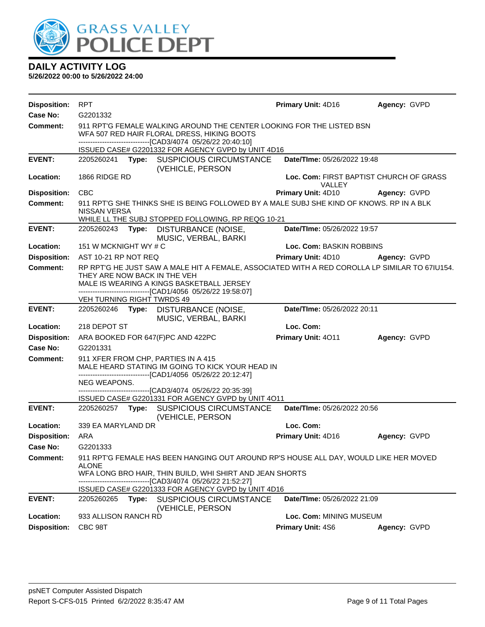

| <b>Disposition:</b> | <b>RPT</b>                                                                                                                                                                           |                                                                                                                                                                                                             | Primary Unit: 4D16                                       | Agency: GVPD        |  |  |
|---------------------|--------------------------------------------------------------------------------------------------------------------------------------------------------------------------------------|-------------------------------------------------------------------------------------------------------------------------------------------------------------------------------------------------------------|----------------------------------------------------------|---------------------|--|--|
| Case No:            | G2201332                                                                                                                                                                             |                                                                                                                                                                                                             |                                                          |                     |  |  |
| Comment:            | 911 RPT'G FEMALE WALKING AROUND THE CENTER LOOKING FOR THE LISTED BSN<br>WFA 507 RED HAIR FLORAL DRESS, HIKING BOOTS<br>-------------------------------[CAD3/4074 05/26/22 20:40:10] |                                                                                                                                                                                                             |                                                          |                     |  |  |
|                     |                                                                                                                                                                                      | ISSUED CASE# G2201332 FOR AGENCY GVPD by UNIT 4D16                                                                                                                                                          |                                                          |                     |  |  |
| <b>EVENT:</b>       | 2205260241 <b>Type:</b>                                                                                                                                                              | <b>SUSPICIOUS CIRCUMSTANCE</b><br>(VEHICLE, PERSON                                                                                                                                                          | Date/TIme: 05/26/2022 19:48                              |                     |  |  |
| Location:           | 1866 RIDGE RD                                                                                                                                                                        |                                                                                                                                                                                                             | Loc. Com: FIRST BAPTIST CHURCH OF GRASS<br><b>VALLEY</b> |                     |  |  |
| <b>Disposition:</b> | <b>CBC</b>                                                                                                                                                                           |                                                                                                                                                                                                             | Primary Unit: 4D10                                       | <b>Agency: GVPD</b> |  |  |
| <b>Comment:</b>     | NISSAN VERSA                                                                                                                                                                         | 911 RPT'G SHE THINKS SHE IS BEING FOLLOWED BY A MALE SUBJ SHE KIND OF KNOWS. RP IN A BLK<br>WHILE LL THE SUBJ STOPPED FOLLOWING, RP REQG 10-21                                                              |                                                          |                     |  |  |
| <b>EVENT:</b>       | 2205260243<br>Type:                                                                                                                                                                  | DISTURBANCE (NOISE,<br>MUSIC, VERBAL, BARKI                                                                                                                                                                 | Date/TIme: 05/26/2022 19:57                              |                     |  |  |
| Location:           | 151 W MCKNIGHT WY # C                                                                                                                                                                |                                                                                                                                                                                                             | Loc. Com: BASKIN ROBBINS                                 |                     |  |  |
| <b>Disposition:</b> | AST 10-21 RP NOT REQ                                                                                                                                                                 |                                                                                                                                                                                                             | Primary Unit: 4D10 Agency: GVPD                          |                     |  |  |
| Comment:            | THEY ARE NOW BACK IN THE VEH<br>VEH TURNING RIGHT TWRDS 49                                                                                                                           | RP RPT'G HE JUST SAW A MALE HIT A FEMALE, ASSOCIATED WITH A RED COROLLA LP SIMILAR TO 671U154.<br>MALE IS WEARING A KINGS BASKETBALL JERSEY<br>-------------------------------[CAD1/4056 05/26/22 19:58:07] |                                                          |                     |  |  |
| <b>EVENT:</b>       | 2205260246 Type:                                                                                                                                                                     | DISTURBANCE (NOISE,                                                                                                                                                                                         | Date/TIme: 05/26/2022 20:11                              |                     |  |  |
|                     |                                                                                                                                                                                      | MUSIC, VERBAL, BARKI                                                                                                                                                                                        |                                                          |                     |  |  |
| Location:           | 218 DEPOT ST                                                                                                                                                                         |                                                                                                                                                                                                             | Loc. Com:                                                |                     |  |  |
| <b>Disposition:</b> | ARA BOOKED FOR 647(F)PC AND 422PC                                                                                                                                                    |                                                                                                                                                                                                             | Primary Unit: 4011                                       | Agency: GVPD        |  |  |
| <b>Case No:</b>     | G2201331                                                                                                                                                                             |                                                                                                                                                                                                             |                                                          |                     |  |  |
| Comment:            | 911 XFER FROM CHP, PARTIES IN A 415                                                                                                                                                  | MALE HEARD STATING IM GOING TO KICK YOUR HEAD IN<br>-------------------------------[CAD1/4056 05/26/22 20:12:47]                                                                                            |                                                          |                     |  |  |
|                     | NEG WEAPONS.                                                                                                                                                                         |                                                                                                                                                                                                             |                                                          |                     |  |  |
|                     |                                                                                                                                                                                      | -------------------------------[CAD3/4074 05/26/22 20:35:39]<br>ISSUED CASE# G2201331 FOR AGENCY GVPD by UNIT 4011                                                                                          |                                                          |                     |  |  |
| <b>EVENT:</b>       | 2205260257                                                                                                                                                                           | Type: SUSPICIOUS CIRCUMSTANCE<br>(VEHICLE, PERSON                                                                                                                                                           | Date/TIme: 05/26/2022 20:56                              |                     |  |  |
| Location:           | 339 EA MARYLAND DR                                                                                                                                                                   |                                                                                                                                                                                                             | Loc. Com:                                                |                     |  |  |
| <b>Disposition:</b> | ARA                                                                                                                                                                                  |                                                                                                                                                                                                             | Primary Unit: 4D16                                       | Agency: GVPD        |  |  |
| Case No:            | G2201333                                                                                                                                                                             |                                                                                                                                                                                                             |                                                          |                     |  |  |
| <b>Comment:</b>     | <b>ALONE</b>                                                                                                                                                                         | 911 RPT'G FEMALE HAS BEEN HANGING OUT AROUND RP'S HOUSE ALL DAY, WOULD LIKE HER MOVED<br>WFA LONG BRO HAIR, THIN BUILD, WHI SHIRT AND JEAN SHORTS                                                           |                                                          |                     |  |  |
|                     |                                                                                                                                                                                      | ------------------------------[CAD3/4074 05/26/22 21:52:27]                                                                                                                                                 |                                                          |                     |  |  |
|                     |                                                                                                                                                                                      | ISSUED CASE# G2201333 FOR AGENCY GVPD by UNIT 4D16                                                                                                                                                          |                                                          |                     |  |  |
| <b>EVENT:</b>       | 2205260265<br>Type:                                                                                                                                                                  | SUSPICIOUS CIRCUMSTANCE<br>(VEHICLE, PERSON                                                                                                                                                                 | Date/TIme: 05/26/2022 21:09                              |                     |  |  |
| Location:           | 933 ALLISON RANCH RD                                                                                                                                                                 |                                                                                                                                                                                                             | Loc. Com: MINING MUSEUM                                  |                     |  |  |
| <b>Disposition:</b> | CBC 98T                                                                                                                                                                              |                                                                                                                                                                                                             | Primary Unit: 4S6                                        | Agency: GVPD        |  |  |
|                     |                                                                                                                                                                                      |                                                                                                                                                                                                             |                                                          |                     |  |  |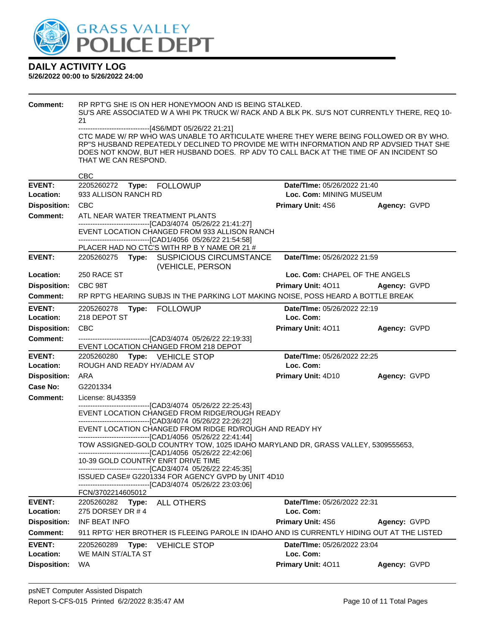

| <b>Comment:</b>     | RP RPT'G SHE IS ON HER HONEYMOON AND IS BEING STALKED.<br>SU'S ARE ASSOCIATED W A WHI PK TRUCK W/ RACK AND A BLK PK. SU'S NOT CURRENTLY THERE, REQ 10- |                                |              |
|---------------------|--------------------------------------------------------------------------------------------------------------------------------------------------------|--------------------------------|--------------|
|                     | 21                                                                                                                                                     |                                |              |
|                     | ------------------------------[4S6/MDT 05/26/22 21:21]<br>CTC MADE W/ RP WHO WAS UNABLE TO ARTICULATE WHERE THEY WERE BEING FOLLOWED OR BY WHO.        |                                |              |
|                     | RP"S HUSBAND REPEATEDLY DECLINED TO PROVIDE ME WITH INFORMATION AND RP ADVSIED THAT SHE                                                                |                                |              |
|                     | DOES NOT KNOW, BUT HER HUSBAND DOES. RP ADV TO CALL BACK AT THE TIME OF AN INCIDENT SO                                                                 |                                |              |
|                     | THAT WE CAN RESPOND.                                                                                                                                   |                                |              |
|                     | <b>CBC</b>                                                                                                                                             |                                |              |
| <b>EVENT:</b>       | 2205260272 Type: FOLLOWUP                                                                                                                              | Date/TIme: 05/26/2022 21:40    |              |
| Location:           | 933 ALLISON RANCH RD                                                                                                                                   | Loc. Com: MINING MUSEUM        |              |
| <b>Disposition:</b> | <b>CBC</b>                                                                                                                                             | <b>Primary Unit: 4S6</b>       | Agency: GVPD |
| <b>Comment:</b>     | ATL NEAR WATER TREATMENT PLANTS<br>-------------------------------[CAD3/4074 05/26/22 21:41:27]                                                        |                                |              |
|                     | EVENT LOCATION CHANGED FROM 933 ALLISON RANCH                                                                                                          |                                |              |
|                     | -------------------------------[CAD1/4056 05/26/22 21:54:58]                                                                                           |                                |              |
| <b>EVENT:</b>       | PLACER HAD NO CTC'S WITH RP B Y NAME OR 21 #<br>2205260275 Type: SUSPICIOUS CIRCUMSTANCE                                                               | Date/TIme: 05/26/2022 21:59    |              |
|                     | (VEHICLE, PERSON                                                                                                                                       |                                |              |
| Location:           | 250 RACE ST                                                                                                                                            | Loc. Com: CHAPEL OF THE ANGELS |              |
| <b>Disposition:</b> | CBC 98T                                                                                                                                                | <b>Primary Unit: 4011</b>      | Agency: GVPD |
| <b>Comment:</b>     | RP RPT'G HEARING SUBJS IN THE PARKING LOT MAKING NOISE, POSS HEARD A BOTTLE BREAK                                                                      |                                |              |
| <b>EVENT:</b>       | 2205260278<br>Type: FOLLOWUP                                                                                                                           | Date/TIme: 05/26/2022 22:19    |              |
| Location:           | 218 DEPOT ST                                                                                                                                           | Loc. Com:                      |              |
| <b>Disposition:</b> | <b>CBC</b>                                                                                                                                             | <b>Primary Unit: 4011</b>      | Agency: GVPD |
| <b>Comment:</b>     | ------------------------------[CAD3/4074 05/26/22 22:19:33]<br>EVENT LOCATION CHANGED FROM 218 DEPOT                                                   |                                |              |
| <b>EVENT:</b>       | 2205260280 Type: VEHICLE STOP                                                                                                                          | Date/TIme: 05/26/2022 22:25    |              |
| Location:           | ROUGH AND READY HY/ADAM AV                                                                                                                             | Loc. Com:                      |              |
| <b>Disposition:</b> | ARA                                                                                                                                                    | Primary Unit: 4D10             | Agency: GVPD |
| <b>Case No:</b>     | G2201334                                                                                                                                               |                                |              |
| <b>Comment:</b>     | License: 8U43359                                                                                                                                       |                                |              |
|                     | -------------------------------[CAD3/4074 05/26/22 22:25:43]<br>EVENT LOCATION CHANGED FROM RIDGE/ROUGH READY                                          |                                |              |
|                     | -------------------------------[CAD3/4074 05/26/22 22:26:22]                                                                                           |                                |              |
|                     | EVENT LOCATION CHANGED FROM RIDGE RD/ROUGH AND READY HY                                                                                                |                                |              |
|                     | -------------------------------[CAD1/4056 05/26/22 22:41:44]<br>TOW ASSIGNED-GOLD COUNTRY TOW, 1025 IDAHO MARYLAND DR, GRASS VALLEY, 5309555653,       |                                |              |
|                     | -------------------------------[CAD1/4056 05/26/22 22:42:06]                                                                                           |                                |              |
|                     | 10-39 GOLD COUNTRY ENRT DRIVE TIME<br>-----------------------[CAD3/4074_05/26/22_22:45:35]                                                             |                                |              |
|                     | ISSUED CASE# G2201334 FOR AGENCY GVPD by UNIT 4D10                                                                                                     |                                |              |
|                     | -------------------------------[CAD3/4074 05/26/22 23:03:06]<br>FCN/3702214605012                                                                      |                                |              |
| <b>EVENT:</b>       | 2205260282 Type: ALL OTHERS                                                                                                                            | Date/TIme: 05/26/2022 22:31    |              |
| Location:           | 275 DORSEY DR #4                                                                                                                                       | Loc. Com:                      |              |
| <b>Disposition:</b> | INF BEAT INFO                                                                                                                                          | <b>Primary Unit: 4S6</b>       | Agency: GVPD |
| Comment:            | 911 RPTG' HER BROTHER IS FLEEING PAROLE IN IDAHO AND IS CURRENTLY HIDING OUT AT THE LISTED                                                             |                                |              |
| <b>EVENT:</b>       | 2205260289<br><b>VEHICLE STOP</b><br>Type:                                                                                                             | Date/TIme: 05/26/2022 23:04    |              |
| Location:           | WE MAIN ST/ALTA ST                                                                                                                                     | Loc. Com:                      |              |
| <b>Disposition:</b> | WA                                                                                                                                                     | Primary Unit: 4011             | Agency: GVPD |
|                     |                                                                                                                                                        |                                |              |